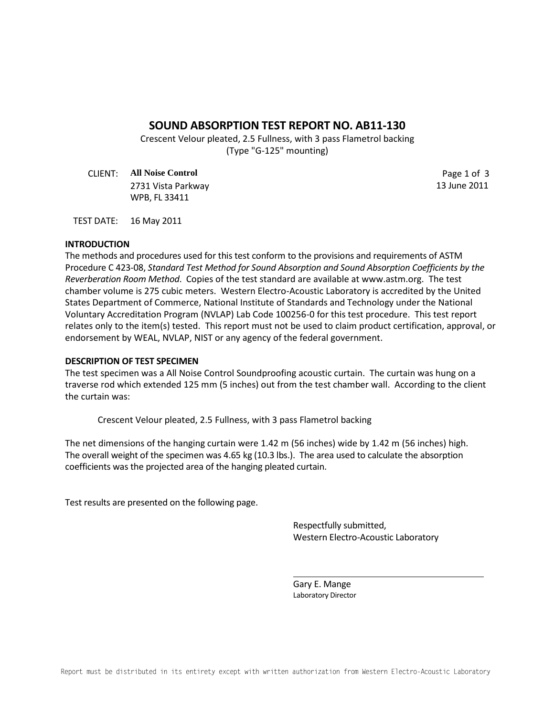# **SOUND ABSORPTION TEST REPORT NO. AB11-130**

Crescent Velour pleated, 2.5 Fullness, with 3 pass Flametrol backing (Type "G-125" mounting)

CLIENT: **All Noise Control** Page 1 of 3 2731 Vista Parkway 13 June 2011 WPB, FL 33411

TEST DATE: 16 May 2011

## **INTRODUCTION**

The methods and procedures used for this test conform to the provisions and requirements of ASTM Procedure C 423-08, *Standard Test Method for Sound Absorption and Sound Absorption Coefficients by the Reverberation Room Method*. Copies of the test standard are available at www.astm.org. The test chamber volume is 275 cubic meters. Western Electro-Acoustic Laboratory is accredited by the United States Department of Commerce, National Institute of Standards and Technology under the National Voluntary Accreditation Program (NVLAP) Lab Code 100256-0 for this test procedure. This test report relates only to the item(s) tested. This report must not be used to claim product certification, approval, or endorsement by WEAL, NVLAP, NIST or any agency of the federal government.

### **DESCRIPTION OF TEST SPECIMEN**

The test specimen was a All Noise Control Soundproofing acoustic curtain. The curtain was hung on a traverse rod which extended 125 mm (5 inches) out from the test chamber wall. According to the client the curtain was:

Crescent Velour pleated, 2.5 Fullness, with 3 pass Flametrol backing

The net dimensions of the hanging curtain were 1.42 m (56 inches) wide by 1.42 m (56 inches) high. The overall weight of the specimen was 4.65 kg (10.3 lbs.). The area used to calculate the absorption coefficients was the projected area of the hanging pleated curtain.

Test results are presented on the following page.

Respectfully submitted, Western Electro-Acoustic Laboratory

Gary E. Mange Laboratory Director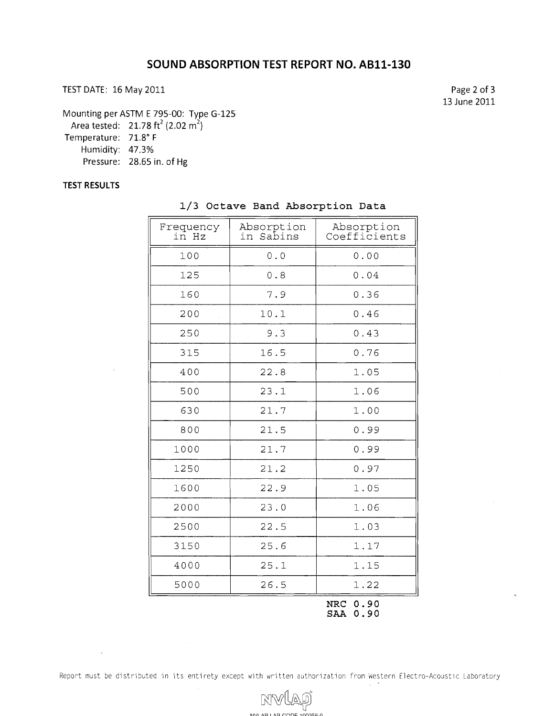TEST DATE: 16 May 2011

Page 2 of 3 13 June 2011

Mounting per ASTM E 795-00: Type G-125

Area tested: 21.78 ft<sup>2</sup> (2.02 m<sup>2</sup>)

Temperature: 71.8" F

Humidity: 47.3%

Pressure: 28.65 in. of Hg

## **TEST RESULTS**

 $\overline{\phantom{a}}$ 

| Frequency<br>in Hz | Absorption<br>in Sabins | Absorption<br>Coefficients |
|--------------------|-------------------------|----------------------------|
| 100                | 0.0                     | 0.00                       |
| 125                | 0.8                     | 0.04                       |
| 160                | 7.9                     | 0.36                       |
| 200                | 10.1                    | 0.46                       |
| 250                | 9.3                     | 0.43                       |
| 315                | 16.5                    | 0.76                       |
| 400                | 22.8                    | 1.05                       |
| 500                | 23.1                    | 1.06                       |
| 630                | 21.7                    | 1.00                       |
| 800                | 21.5                    | 0.99                       |
| 1000               | 21.7                    | 0.99                       |
| 1250               | 21.2                    | 0.97                       |
| 1600               | 22.9                    | 1.05                       |
| 2000               | 23.0                    | 1.06                       |
| 2500               | 22.5                    | 1.03                       |
| 3150               | 25.6                    | 1.17                       |
| 4000               | 25.1                    | 1.15                       |
| 5000               | 26.5                    | 1.22                       |
|                    |                         | 0.90<br>NRC                |

#### 1/3 Octave Band Absorption Data

**S?N 0.90** 

Report must be distributed in its entirety except with written authorization from Western Electro-Acoustic Laboratory

じづ

NW